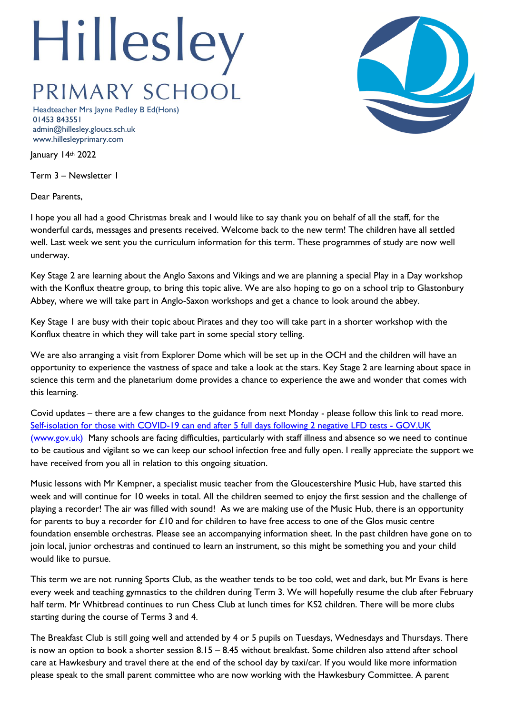## Hillesley PRIMARY SCHOOL

Headteacher Mrs Jayne Pedley B Ed(Hons) 01453 843551 admin@hillesley.gloucs.sch.uk www.hillesleyprimary.com

January 14th 2022

Term 3 – Newsletter 1

Dear Parents,

I hope you all had a good Christmas break and I would like to say thank you on behalf of all the staff, for the wonderful cards, messages and presents received. Welcome back to the new term! The children have all settled well. Last week we sent you the curriculum information for this term. These programmes of study are now well underway.

Key Stage 2 are learning about the Anglo Saxons and Vikings and we are planning a special Play in a Day workshop with the Konflux theatre group, to bring this topic alive. We are also hoping to go on a school trip to Glastonbury Abbey, where we will take part in Anglo-Saxon workshops and get a chance to look around the abbey.

Key Stage 1 are busy with their topic about Pirates and they too will take part in a shorter workshop with the Konflux theatre in which they will take part in some special story telling.

We are also arranging a visit from Explorer Dome which will be set up in the OCH and the children will have an opportunity to experience the vastness of space and take a look at the stars. Key Stage 2 are learning about space in science this term and the planetarium dome provides a chance to experience the awe and wonder that comes with this learning.

Covid updates – there are a few changes to the guidance from next Monday - please follow this link to read more. [Self-isolation for those with COVID-19 can end after 5 full days following 2 negative LFD tests -](https://www.gov.uk/government/news/self-isolation-for-those-with-covid-19-can-end-after-five-full-days-following-two-negative-lfd-tests?utm_source=14%20January%202022%20C19&utm_medium=Daily%20Email%20C19&utm_campaign=DfE%20C19) GOV.UK [\(www.gov.uk\)](https://www.gov.uk/government/news/self-isolation-for-those-with-covid-19-can-end-after-five-full-days-following-two-negative-lfd-tests?utm_source=14%20January%202022%20C19&utm_medium=Daily%20Email%20C19&utm_campaign=DfE%20C19) Many schools are facing difficulties, particularly with staff illness and absence so we need to continue to be cautious and vigilant so we can keep our school infection free and fully open. I really appreciate the support we have received from you all in relation to this ongoing situation.

Music lessons with Mr Kempner, a specialist music teacher from the Gloucestershire Music Hub, have started this week and will continue for 10 weeks in total. All the children seemed to enjoy the first session and the challenge of playing a recorder! The air was filled with sound! As we are making use of the Music Hub, there is an opportunity for parents to buy a recorder for  $\pounds 10$  and for children to have free access to one of the Glos music centre foundation ensemble orchestras. Please see an accompanying information sheet. In the past children have gone on to join local, junior orchestras and continued to learn an instrument, so this might be something you and your child would like to pursue.

This term we are not running Sports Club, as the weather tends to be too cold, wet and dark, but Mr Evans is here every week and teaching gymnastics to the children during Term 3. We will hopefully resume the club after February half term. Mr Whitbread continues to run Chess Club at lunch times for KS2 children. There will be more clubs starting during the course of Terms 3 and 4.

The Breakfast Club is still going well and attended by 4 or 5 pupils on Tuesdays, Wednesdays and Thursdays. There is now an option to book a shorter session 8.15 – 8.45 without breakfast. Some children also attend after school care at Hawkesbury and travel there at the end of the school day by taxi/car. If you would like more information please speak to the small parent committee who are now working with the Hawkesbury Committee. A parent